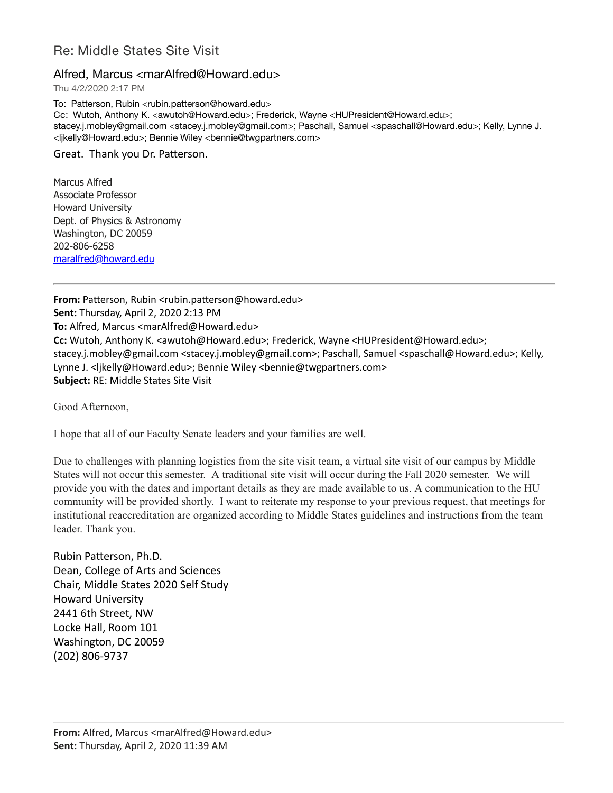## Re: Middle States Site Visit

## Alfred, Marcus <marAlfred@Howard.edu>

Thu 4/2/2020 2:17 PM

To: Patterson, Rubin <rubin.patterson@howard.edu> Cc: Wutoh, Anthony K. <awutoh@Howard.edu>; Frederick, Wayne <HUPresident@Howard.edu>; stacey.j.mobley@gmail.com <stacey.j.mobley@gmail.com>; Paschall, Samuel <spaschall@Howard.edu>; Kelly, Lynne J. <ljkelly@Howard.edu>; Bennie Wiley <bennie@twgpartners.com>

Great. Thank you Dr. Patterson.

Marcus Alfred Associate Professor Howard University Dept. of Physics & Astronomy Washington, DC 20059 202-806-6258 [maralfred@howard.edu](mailto:maralfred@howard.edu)

**From:** Patterson, Rubin <rubin.patterson@howard.edu> **Sent:** Thursday, April 2, 2020 2:13 PM **To:** Alfred, Marcus <marAlfred@Howard.edu> **Cc:** Wutoh, Anthony K. <awutoh@Howard.edu>; Frederick, Wayne <HUPresident@Howard.edu>; stacey.j.mobley@gmail.com <stacey.j.mobley@gmail.com>; Paschall, Samuel <spaschall@Howard.edu>; Kelly, Lynne J. <ljkelly@Howard.edu>; Bennie Wiley <bennie@twgpartners.com> **Subject:** RE: Middle States Site Visit

Good Afternoon,

I hope that all of our Faculty Senate leaders and your families are well.

Due to challenges with planning logistics from the site visit team, a virtual site visit of our campus by Middle States will not occur this semester. A traditional site visit will occur during the Fall 2020 semester. We will provide you with the dates and important details as they are made available to us. A communication to the HU community will be provided shortly. I want to reiterate my response to your previous request, that meetings for institutional reaccreditation are organized according to Middle States guidelines and instructions from the team leader. Thank you.

Rubin Patterson, Ph.D. Dean, College of Arts and Sciences Chair, Middle States 2020 Self Study Howard University 2441 6th Street, NW Locke Hall, Room 101 Washington, DC 20059 (202) 806-9737